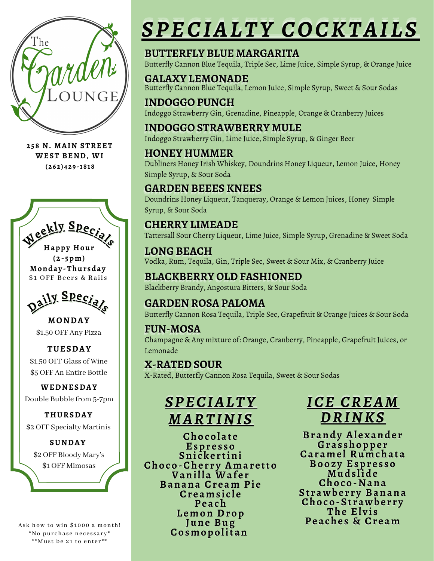

**258 N. MAIN STREET WEST BEND, WI (262) 429 -1818**



**(2- 5pm) Monday -Thur sday** \$1 OFF Beers & Rails



**MONDAY** \$1.50 OFF Any Pizza

#### **TUESDAY** \$1.50 OFF Glass of Wine \$5 OFF An Entire Bottle

**WEDNESDAY** Double Bubble from 5-7pm

**THURSDAY** \$2 OFF Specialty Martinis

**SUNDAY** \$2 OFF Bloody Mary's \$1 OFF Mimosas

Ask how to win \$1000 a month! \*No purchase necessary\* \*\*Must be 21 to enter\*\*

# SPECIALTY COCKTAILS

# **BUTTERFLY BLUE MARGARITA**

Butterfly Cannon Blue Tequila, Triple Sec, Lime Juice, Simple Syrup, & Orange Juice

**GALAXY LEMONADE** Butterfly Cannon Blue Tequila, Lemon Juice, Simple Syrup, Sweet & Sour Sodas

**INDOGGO PUNCH** Indoggo Strawberry Gin, Grenadine, Pineapple, Orange & Cranberry Juices

**INDOGGO STRAWBERRY MULE** Indoggo Strawberry Gin, Lime Juice, Simple Syrup, & Ginger Beer

#### **HONEY HUMMER**

Dubliners Honey Irish Whiskey, Doundrins Honey Liqueur, Lemon Juice, Honey Simple Syrup, & Sour Soda

### **GARDEN BEEES KNEES**

Doundrins Honey Liqueur, Tanqueray, Orange & Lemon Juices, Honey Simple Syrup, & Sour Soda

# **CHERRY LIMEADE**

Tattersall Sour Cherry Liqueur, Lime Juice, Simple Syrup, Grenadine & Sweet Soda

#### **LONG BEACH**

Vodka, Rum, Tequila, Gin, Triple Sec, Sweet & Sour Mix, & Cranberry Juice

#### **BLACKBERRY OLD FASHIONED** Blackberry Brandy, Angostura Bitters, & Sour Soda

# **GARDEN ROSA PALOMA**

Butterfly Cannon Rosa Tequila, Triple Sec, Grapefruit & Orange Juices & Sour Soda

#### **FUN-MOSA**

Champagne & Any mixture of: Orange, Cranberry, Pineapple, Grapefruit Juices, or Lemonade

### **X-RATED SOUR**

X-Rated, Butterfly Cannon Rosa Tequila, Sweet & Sour Sodas



**Chocolat e Espr e s so Sni cke r tini** *Choco-Cherry Amaretto* **Vanilla Waf e r Banana** Cream Pie **Cr eams i c l e Peach Lemon Drop June Bug Cosmopolitan**

 $I$ *CE CREAM DDRRIINNKKSS*

**Brandy Alexander Gras shoppe r Carame l Rumchata Booz y Espr e s so Muds lide Choco-Nana St rawbe r r y Banana Choco-St rawbe r r y The Elvis Peache s & Cr eam**